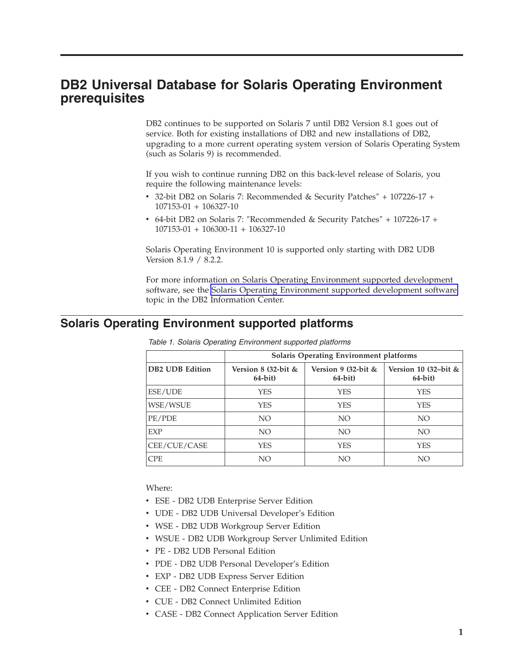## **DB2 Universal Database for Solaris Operating Environment prerequisites**

DB2 continues to be supported on Solaris 7 until DB2 Version 8.1 goes out of service. Both for existing installations of DB2 and new installations of DB2, upgrading to a more current operating system version of Solaris Operating System (such as Solaris 9) is recommended.

If you wish to continue running DB2 on this back-level release of Solaris, you require the following maintenance levels:

- v 32-bit DB2 on Solaris 7: Recommended & Security Patches″ + 107226-17 + 107153-01 + 106327-10
- v 64-bit DB2 on Solaris 7: ″Recommended & Security Patches″ + 107226-17 + 107153-01 + 106300-11 + 106327-10

Solaris Operating Environment 10 is supported only starting with DB2 UDB Version 8.1.9 / 8.2.2.

For more information on Solaris Operating Environment supported development software, see the Solaris Operating Environment supported [development](http://publib.boulder.ibm.com/infocenter/db2help/topic/com.ibm.db2.udb.doc/ad/r0006779.htm) software topic in the DB2 Information Center.

### **Solaris Operating Environment supported platforms**

|                 | <b>Solaris Operating Environment platforms</b> |                                    |                                       |
|-----------------|------------------------------------------------|------------------------------------|---------------------------------------|
| DB2 UDB Edition | Version $8$ (32-bit &<br>$64$ -bit)            | Version 9 (32-bit $&$<br>$64-bit)$ | Version 10 $(32-bit \&$<br>$64$ -bit) |
| ESE/UDE         | <b>YES</b>                                     | <b>YES</b>                         | <b>YES</b>                            |
| WSE/WSUE        | <b>YES</b>                                     | <b>YES</b>                         | YES                                   |
| PE/PDE          | NO                                             | NO                                 | NO.                                   |
| EXP             | NO.                                            | NO.                                | NO.                                   |
| CEE/CUE/CASE    | <b>YES</b>                                     | <b>YES</b>                         | YES                                   |
| <b>CPE</b>      | NO.                                            | NO                                 | NO                                    |

*Table 1. Solaris Operating Environment supported platforms*

#### Where:

- v ESE DB2 UDB Enterprise Server Edition
- v UDE DB2 UDB Universal Developer's Edition
- v WSE DB2 UDB Workgroup Server Edition
- v WSUE DB2 UDB Workgroup Server Unlimited Edition
- v PE DB2 UDB Personal Edition
- v PDE DB2 UDB Personal Developer's Edition
- v EXP DB2 UDB Express Server Edition
- v CEE DB2 Connect Enterprise Edition
- v CUE DB2 Connect Unlimited Edition
- v CASE DB2 Connect Application Server Edition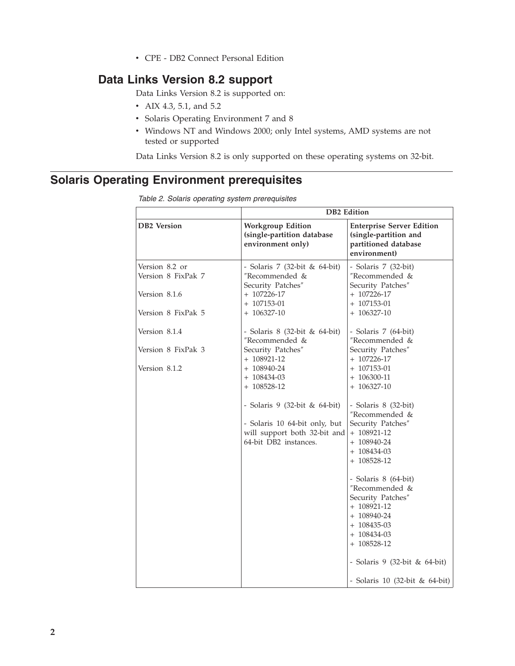v CPE - DB2 Connect Personal Edition

## **Data Links Version 8.2 support**

Data Links Version 8.2 is supported on:

- AIX 4.3, 5.1, and 5.2
- Solaris Operating Environment 7 and 8
- v Windows NT and Windows 2000; only Intel systems, AMD systems are not tested or supported

Data Links Version 8.2 is only supported on these operating systems on 32-bit.

# **Solaris Operating Environment prerequisites**

|                                      | <b>DB2</b> Edition                                                                                                      |                                                                                                                                                            |  |
|--------------------------------------|-------------------------------------------------------------------------------------------------------------------------|------------------------------------------------------------------------------------------------------------------------------------------------------------|--|
| <b>DB2</b> Version                   | <b>Workgroup Edition</b><br>(single-partition database<br>environment only)                                             | <b>Enterprise Server Edition</b><br>(single-partition and<br>partitioned database<br>environment)                                                          |  |
| Version 8.2 or<br>Version 8 FixPak 7 | - Solaris 7 (32-bit & 64-bit)<br>"Recommended &<br>Security Patches"                                                    | - Solaris 7 (32-bit)<br>"Recommended &<br>Security Patches"                                                                                                |  |
| Version 8.1.6                        | $+ 107226 - 17$<br>$+ 107153 - 01$                                                                                      | $+ 107226 - 17$<br>$+ 107153 - 01$                                                                                                                         |  |
| Version 8 FixPak 5                   | $+ 106327 - 10$                                                                                                         | $+ 106327 - 10$                                                                                                                                            |  |
| Version 8.1.4                        | - Solaris 8 (32-bit & 64-bit)<br>"Recommended &                                                                         | - Solaris 7 (64-bit)<br>"Recommended &                                                                                                                     |  |
| Version 8 FixPak 3                   | Security Patches"<br>+ 108921-12                                                                                        | Security Patches"<br>$+ 107226 - 17$                                                                                                                       |  |
| Version 8.1.2                        | $+ 108940 - 24$<br>$+ 108434 - 03$<br>$+ 108528 - 12$                                                                   | $+ 107153 - 01$<br>$+ 106300 - 11$<br>$+ 106327 - 10$                                                                                                      |  |
|                                      | - Solaris 9 (32-bit & 64-bit)<br>- Solaris 10 64-bit only, but<br>will support both 32-bit and<br>64-bit DB2 instances. | - Solaris 8 (32-bit)<br>"Recommended &<br>Security Patches"<br>$+ 108921 - 12$<br>$+ 108940 - 24$<br>$+ 108434 - 03$<br>$+ 108528 - 12$                    |  |
|                                      |                                                                                                                         | - Solaris 8 (64-bit)<br>"Recommended &<br>Security Patches"<br>$+ 108921 - 12$<br>$+ 108940 - 24$<br>$+ 108435 - 03$<br>$+ 108434 - 03$<br>$+ 108528 - 12$ |  |
|                                      |                                                                                                                         | - Solaris 9 (32-bit & 64-bit)<br>- Solaris 10 (32-bit & 64-bit)                                                                                            |  |

*Table 2. Solaris operating system prerequisites*